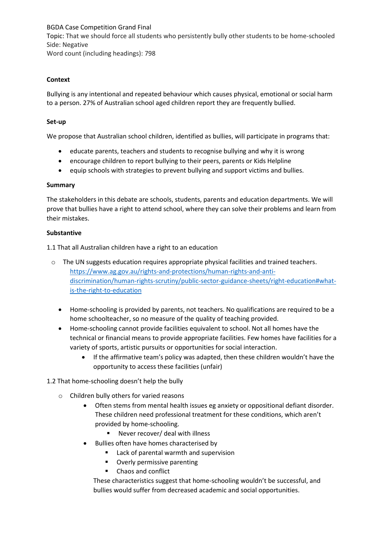BGDA Case Competition Grand Final Topic: That we should force all students who persistently bully other students to be home-schooled Side: Negative Word count (including headings): 798

# **Context**

Bullying is any intentional and repeated behaviour which causes physical, emotional or social harm to a person. 27% of Australian school aged children report they are frequently bullied.

# **Set-up**

We propose that Australian school children, identified as bullies, will participate in programs that:

- educate parents, teachers and students to recognise bullying and why it is wrong
- encourage children to report bullying to their peers, parents or Kids Helpline
- equip schools with strategies to prevent bullying and support victims and bullies.

# **Summary**

The stakeholders in this debate are schools, students, parents and education departments. We will prove that bullies have a right to attend school, where they can solve their problems and learn from their mistakes.

# **Substantive**

1.1 That all Australian children have a right to an education

- o The UN suggests education requires appropriate physical facilities and trained teachers. https://www.ag.gov.au/rights-and-protections/human-rights-and-antidiscrimination/human-rights-scrutiny/public-sector-guidance-sheets/right-education#whatis-the-right-to-education
	- Home-schooling is provided by parents, not teachers. No qualifications are required to be a home schoolteacher, so no measure of the quality of teaching provided.
	- Home-schooling cannot provide facilities equivalent to school. Not all homes have the technical or financial means to provide appropriate facilities. Few homes have facilities for a variety of sports, artistic pursuits or opportunities for social interaction.
		- If the affirmative team's policy was adapted, then these children wouldn't have the opportunity to access these facilities (unfair)
- 1.2 That home-schooling doesn't help the bully
	- o Children bully others for varied reasons
		- Often stems from mental health issues eg anxiety or oppositional defiant disorder. These children need professional treatment for these conditions, which aren't provided by home-schooling.
			- Never recover/ deal with illness
		- Bullies often have homes characterised by
			- Lack of parental warmth and supervision
			- Overly permissive parenting
			- Chaos and conflict

These characteristics suggest that home-schooling wouldn't be successful, and bullies would suffer from decreased academic and social opportunities.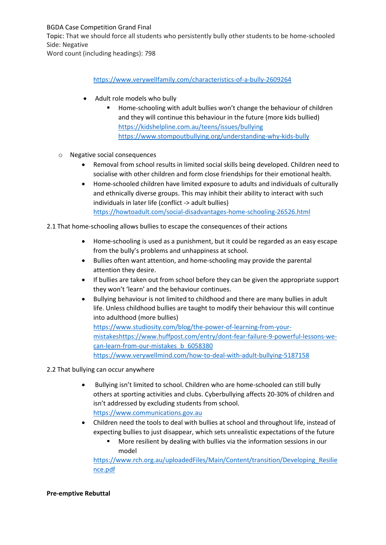BGDA Case Competition Grand Final Topic: That we should force all students who persistently bully other students to be home-schooled Side: Negative

Word count (including headings): 798

# https://www.verywellfamily.com/characteristics-of-a-bully-2609264

- Adult role models who bully
	- Home-schooling with adult bullies won't change the behaviour of children and they will continue this behaviour in the future (more kids bullied) https://kidshelpline.com.au/teens/issues/bullying https://www.stompoutbullying.org/understanding-why-kids-bully
- o Negative social consequences
	- Removal from school results in limited social skills being developed. Children need to socialise with other children and form close friendships for their emotional health.
	- Home-schooled children have limited exposure to adults and individuals of culturally and ethnically diverse groups. This may inhibit their ability to interact with such individuals in later life (conflict -> adult bullies) https://howtoadult.com/social-disadvantages-home-schooling-26526.html
- 2.1 That home-schooling allows bullies to escape the consequences of their actions
	- Home-schooling is used as a punishment, but it could be regarded as an easy escape from the bully's problems and unhappiness at school.
	- Bullies often want attention, and home-schooling may provide the parental attention they desire.
	- If bullies are taken out from school before they can be given the appropriate support they won't 'learn' and the behaviour continues.
	- Bullying behaviour is not limited to childhood and there are many bullies in adult life. Unless childhood bullies are taught to modify their behaviour this will continue into adulthood (more bullies) https://www.studiosity.com/blog/the-power-of-learning-from-yourmistakeshttps://www.huffpost.com/entry/dont-fear-failure-9-powerful-lessons-wecan-learn-from-our-mistakes\_b\_6058380

https://www.verywellmind.com/how-to-deal-with-adult-bullying-5187158

- 2.2 That bullying can occur anywhere
	- Bullying isn't limited to school. Children who are home-schooled can still bully others at sporting activities and clubs. Cyberbullying affects 20-30% of children and isn't addressed by excluding students from school. https://www.communications.gov.au
	- Children need the tools to deal with bullies at school and throughout life, instead of expecting bullies to just disappear, which sets unrealistic expectations of the future
		- More resilient by dealing with bullies via the information sessions in our model

https://www.rch.org.au/uploadedFiles/Main/Content/transition/Developing\_Resilie nce.pdf

#### **Pre-emptive Rebuttal**